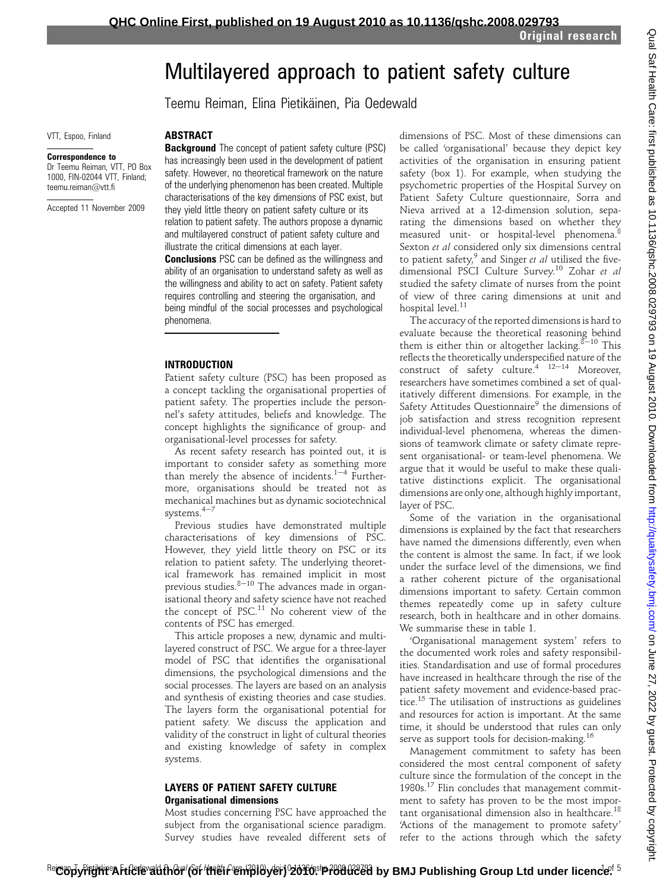# Multilayered approach to patient safety culture

Teemu Reiman, Elina Pietikäinen, Pia Oedewald

VTT, Espoo, Finland

#### Correspondence to

Dr Teemu Reiman, VTT, PO Box 1000, FIN-02044 VTT, Finland; teemu.reiman@vtt.fi

Accepted 11 November 2009

ABSTRACT **Background** The concept of patient safety culture (PSC) has increasingly been used in the development of patient safety. However, no theoretical framework on the nature of the underlying phenomenon has been created. Multiple characterisations of the key dimensions of PSC exist, but they yield little theory on patient safety culture or its relation to patient safety. The authors propose a dynamic and multilayered construct of patient safety culture and illustrate the critical dimensions at each layer.

**Conclusions** PSC can be defined as the willingness and ability of an organisation to understand safety as well as the willingness and ability to act on safety. Patient safety requires controlling and steering the organisation, and being mindful of the social processes and psychological phenomena.

#### INTRODUCTION

Patient safety culture (PSC) has been proposed as a concept tackling the organisational properties of patient safety. The properties include the personnel's safety attitudes, beliefs and knowledge. The concept highlights the significance of group- and organisational-level processes for safety.

As recent safety research has pointed out, it is important to consider safety as something more than merely the absence of incidents. $1-4$  Furthermore, organisations should be treated not as mechanical machines but as dynamic sociotechnical systems. $4-7$ 

Previous studies have demonstrated multiple characterisations of key dimensions of PSC. However, they yield little theory on PSC or its relation to patient safety. The underlying theoretical framework has remained implicit in most previous studies. $8-10$  The advances made in organisational theory and safety science have not reached the concept of PSC.<sup>11</sup> No coherent view of the contents of PSC has emerged.

This article proposes a new, dynamic and multilayered construct of PSC. We argue for a three-layer model of PSC that identifies the organisational dimensions, the psychological dimensions and the social processes. The layers are based on an analysis and synthesis of existing theories and case studies. The layers form the organisational potential for patient safety. We discuss the application and validity of the construct in light of cultural theories and existing knowledge of safety in complex systems.

# LAYERS OF PATIENT SAFETY CULTURE Organisational dimensions

Most studies concerning PSC have approached the subject from the organisational science paradigm. Survey studies have revealed different sets of

dimensions of PSC. Most of these dimensions can be called 'organisational' because they depict key activities of the organisation in ensuring patient safety (box 1). For example, when studying the psychometric properties of the Hospital Survey on Patient Safety Culture questionnaire, Sorra and Nieva arrived at a 12-dimension solution, separating the dimensions based on whether they measured unit- or hospital-level phenomena.<sup>8</sup> Sexton et al considered only six dimensions central to patient safety, $9$  and Singer et al utilised the fivedimensional PSCI Culture Survey.<sup>10</sup> Zohar et al studied the safety climate of nurses from the point of view of three caring dimensions at unit and hospital level. $^{\rm 11}$ 

The accuracy of the reported dimensions is hard to evaluate because the theoretical reasoning behind them is either thin or altogether lacking. $8\text{--}10$  This reflects the theoretically underspecified nature of the construct of safety culture.<sup>4 12-14</sup> Moreover, researchers have sometimes combined a set of qualitatively different dimensions. For example, in the Safety Attitudes Questionnaire<sup>9</sup> the dimensions of job satisfaction and stress recognition represent individual-level phenomena, whereas the dimensions of teamwork climate or safety climate represent organisational- or team-level phenomena. We argue that it would be useful to make these qualitative distinctions explicit. The organisational dimensions are only one, although highly important, layer of PSC.

Some of the variation in the organisational dimensions is explained by the fact that researchers have named the dimensions differently, even when the content is almost the same. In fact, if we look under the surface level of the dimensions, we find a rather coherent picture of the organisational dimensions important to safety. Certain common themes repeatedly come up in safety culture research, both in healthcare and in other domains. We summarise these in table 1.

'Organisational management system' refers to the documented work roles and safety responsibilities. Standardisation and use of formal procedures have increased in healthcare through the rise of the patient safety movement and evidence-based practice.<sup>15</sup> The utilisation of instructions as guidelines and resources for action is important. At the same time, it should be understood that rules can only serve as support tools for decision-making.<sup>16</sup>

Management commitment to safety has been considered the most central component of safety culture since the formulation of the concept in the  $1980s$ .<sup>17</sup> Flin concludes that management commitment to safety has proven to be the most important organisational dimension also in healthcare.<sup>18</sup> 'Actions of the management to promote safety' refer to the actions through which the safety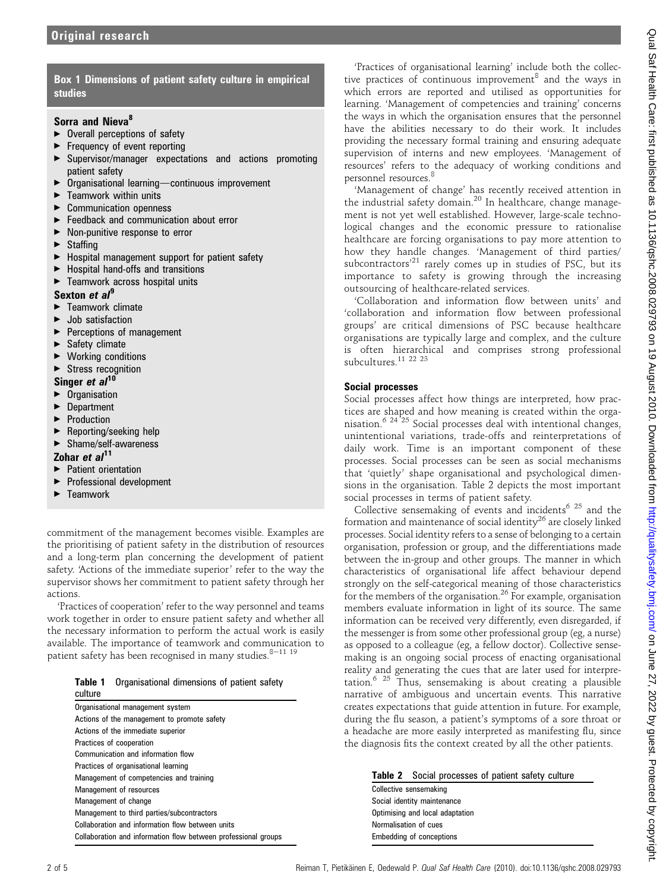# Box 1 Dimensions of patient safety culture in empirical studies

# Sorra and Nieva<sup>8</sup>

- $\triangleright$  Overall perceptions of safety
- < Frequency of event reporting
- < Supervisor/manager expectations and actions promoting patient safety
- $\triangleright$  Organisational learning—continuous improvement
- $\blacktriangleright$  Teamwork within units
- ▶ Communication openness
- $\triangleright$  Feedback and communication about error<br> $\triangleright$  Non-nunitive response to error
- < Non-punitive response to error
- $\blacktriangleright$  Staffing
- ▶ Hospital management support for patient safety
- < Hospital hand-offs and transitions
- ▶ Teamwork across hospital units

# Sexton et al<sup>9</sup>

- < Teamwork climate
- < Job satisfaction
- ▶ Perceptions of management
- $\blacktriangleright$  Safety climate
- < Working conditions

# $\blacktriangleright$  Stress recognition

- Singer  $et al<sup>10</sup>$
- **Organisation**
- < Department
- **Production**
- < Reporting/seeking help
- ▶ Shame/self-awareness

# Zohar et  $al<sup>11</sup>$

- < Patient orientation
- ▶ Professional development<br>▶ Teamwork
- < Teamwork

commitment of the management becomes visible. Examples are the prioritising of patient safety in the distribution of resources and a long-term plan concerning the development of patient safety. 'Actions of the immediate superior' refer to the way the supervisor shows her commitment to patient safety through her actions.

'Practices of cooperation' refer to the way personnel and teams work together in order to ensure patient safety and whether all the necessary information to perform the actual work is easily available. The importance of teamwork and communication to patient safety has been recognised in many studies. $8-11$  19

|         | Table 1 Organisational dimensions of patient safety |  |  |
|---------|-----------------------------------------------------|--|--|
| culture |                                                     |  |  |

| Organisational management system                               |  |  |  |  |
|----------------------------------------------------------------|--|--|--|--|
| Actions of the management to promote safety                    |  |  |  |  |
| Actions of the immediate superior                              |  |  |  |  |
| Practices of cooperation                                       |  |  |  |  |
| Communication and information flow                             |  |  |  |  |
| Practices of organisational learning                           |  |  |  |  |
| Management of competencies and training                        |  |  |  |  |
| Management of resources                                        |  |  |  |  |
| Management of change                                           |  |  |  |  |
| Management to third parties/subcontractors                     |  |  |  |  |
| Collaboration and information flow between units               |  |  |  |  |
| Collaboration and information flow between professional groups |  |  |  |  |

'Practices of organisational learning' include both the collective practices of continuous improvement<sup>8</sup> and the ways in which errors are reported and utilised as opportunities for learning. 'Management of competencies and training' concerns the ways in which the organisation ensures that the personnel have the abilities necessary to do their work. It includes providing the necessary formal training and ensuring adequate supervision of interns and new employees. 'Management of resources' refers to the adequacy of working conditions and personnel resources.<sup>8</sup>

'Management of change' has recently received attention in the industrial safety domain.<sup>20</sup> In healthcare, change management is not yet well established. However, large-scale technological changes and the economic pressure to rationalise healthcare are forcing organisations to pay more attention to how they handle changes. 'Management of third parties/ subcontractors<sup>'21</sup> rarely comes up in studies of PSC, but its importance to safety is growing through the increasing outsourcing of healthcare-related services.

'Collaboration and information flow between units' and 'collaboration and information flow between professional groups' are critical dimensions of PSC because healthcare organisations are typically large and complex, and the culture is often hierarchical and comprises strong professional subcultures.<sup>11</sup><sup>22</sup><sup>23</sup>

# Social processes

Social processes affect how things are interpreted, how practices are shaped and how meaning is created within the organisation.<sup>6</sup> 24 25 Social processes deal with intentional changes, unintentional variations, trade-offs and reinterpretations of daily work. Time is an important component of these processes. Social processes can be seen as social mechanisms that 'quietly' shape organisational and psychological dimensions in the organisation. Table 2 depicts the most important social processes in terms of patient safety.

Collective sensemaking of events and incidents<sup>6 25</sup> and the formation and maintenance of social identity $^{26}$  are closely linked processes. Social identity refers to a sense of belonging to a certain organisation, profession or group, and the differentiations made between the in-group and other groups. The manner in which characteristics of organisational life affect behaviour depend strongly on the self-categorical meaning of those characteristics for the members of the organisation.<sup>26</sup> For example, organisation members evaluate information in light of its source. The same information can be received very differently, even disregarded, if the messenger is from some other professional group (eg, a nurse) as opposed to a colleague (eg, a fellow doctor). Collective sensemaking is an ongoing social process of enacting organisational reality and generating the cues that are later used for interpretation.6 25 Thus, sensemaking is about creating a plausible narrative of ambiguous and uncertain events. This narrative creates expectations that guide attention in future. For example, during the flu season, a patient's symptoms of a sore throat or a headache are more easily interpreted as manifesting flu, since the diagnosis fits the context created by all the other patients.

|  | Table 2 Social processes of patient safety culture |  |  |
|--|----------------------------------------------------|--|--|
|--|----------------------------------------------------|--|--|

Collective sensemaking Social identity maintenance Optimising and local adaptation Normalisation of cues Embedding of conceptions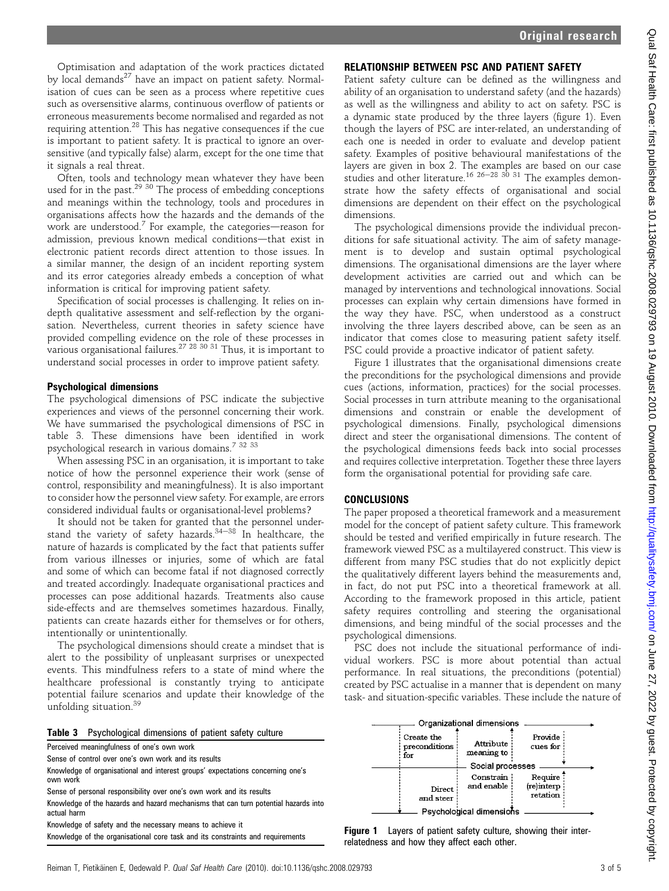Optimisation and adaptation of the work practices dictated by local demands<sup>27</sup> have an impact on patient safety. Normalisation of cues can be seen as a process where repetitive cues such as oversensitive alarms, continuous overflow of patients or erroneous measurements become normalised and regarded as not requiring attention.<sup>28</sup> This has negative consequences if the cue is important to patient safety. It is practical to ignore an oversensitive (and typically false) alarm, except for the one time that it signals a real threat.

Often, tools and technology mean whatever they have been used for in the past.<sup>29 30</sup> The process of embedding conceptions and meanings within the technology, tools and procedures in organisations affects how the hazards and the demands of the work are understood.<sup>7</sup> For example, the categories—reason for admission, previous known medical conditions-that exist in electronic patient records direct attention to those issues. In a similar manner, the design of an incident reporting system and its error categories already embeds a conception of what information is critical for improving patient safety.

Specification of social processes is challenging. It relies on indepth qualitative assessment and self-reflection by the organisation. Nevertheless, current theories in safety science have provided compelling evidence on the role of these processes in various organisational failures.<sup>27 28 30 31</sup> Thus, it is important to understand social processes in order to improve patient safety.

# Psychological dimensions

The psychological dimensions of PSC indicate the subjective experiences and views of the personnel concerning their work. We have summarised the psychological dimensions of PSC in table 3. These dimensions have been identified in work psychological research in various domains.<sup>7</sup> 32 33

When assessing PSC in an organisation, it is important to take notice of how the personnel experience their work (sense of control, responsibility and meaningfulness). It is also important to consider how the personnel view safety. For example, are errors considered individual faults or organisational-level problems?

It should not be taken for granted that the personnel understand the variety of safety hazards. $34-38$  In healthcare, the nature of hazards is complicated by the fact that patients suffer from various illnesses or injuries, some of which are fatal and some of which can become fatal if not diagnosed correctly and treated accordingly. Inadequate organisational practices and processes can pose additional hazards. Treatments also cause side-effects and are themselves sometimes hazardous. Finally, patients can create hazards either for themselves or for others, intentionally or unintentionally.

The psychological dimensions should create a mindset that is alert to the possibility of unpleasant surprises or unexpected events. This mindfulness refers to a state of mind where the healthcare professional is constantly trying to anticipate potential failure scenarios and update their knowledge of the unfolding situation.<sup>39</sup>

|  | Table 3 Psychological dimensions of patient safety culture |  |  |  |  |
|--|------------------------------------------------------------|--|--|--|--|
|--|------------------------------------------------------------|--|--|--|--|

Perceived meaningfulness of one's own work Sense of control over one's own work and its results Knowledge of organisational and interest groups' expectations concerning one's own work Sense of personal responsibility over one's own work and its results Knowledge of the hazards and hazard mechanisms that can turn potential hazards into actual harm

Knowledge of safety and the necessary means to achieve it

# RELATIONSHIP BETWEEN PSC AND PATIENT SAFETY

Patient safety culture can be defined as the willingness and ability of an organisation to understand safety (and the hazards) as well as the willingness and ability to act on safety. PSC is a dynamic state produced by the three layers (figure 1). Even though the layers of PSC are inter-related, an understanding of each one is needed in order to evaluate and develop patient safety. Examples of positive behavioural manifestations of the layers are given in box 2. The examples are based on our case studies and other literature.<sup>16 26–28</sup> <sup>30</sup> <sup>31</sup> The examples demonstrate how the safety effects of organisational and social dimensions are dependent on their effect on the psychological dimensions.

The psychological dimensions provide the individual preconditions for safe situational activity. The aim of safety management is to develop and sustain optimal psychological dimensions. The organisational dimensions are the layer where development activities are carried out and which can be managed by interventions and technological innovations. Social processes can explain why certain dimensions have formed in the way they have. PSC, when understood as a construct involving the three layers described above, can be seen as an indicator that comes close to measuring patient safety itself. PSC could provide a proactive indicator of patient safety.

Figure 1 illustrates that the organisational dimensions create the preconditions for the psychological dimensions and provide cues (actions, information, practices) for the social processes. Social processes in turn attribute meaning to the organisational dimensions and constrain or enable the development of psychological dimensions. Finally, psychological dimensions direct and steer the organisational dimensions. The content of the psychological dimensions feeds back into social processes and requires collective interpretation. Together these three layers form the organisational potential for providing safe care.

# CONCLUSIONS

The paper proposed a theoretical framework and a measurement model for the concept of patient safety culture. This framework should be tested and verified empirically in future research. The framework viewed PSC as a multilayered construct. This view is different from many PSC studies that do not explicitly depict the qualitatively different layers behind the measurements and, in fact, do not put PSC into a theoretical framework at all. According to the framework proposed in this article, patient safety requires controlling and steering the organisational dimensions, and being mindful of the social processes and the psychological dimensions.

PSC does not include the situational performance of individual workers. PSC is more about potential than actual performance. In real situations, the preconditions (potential) created by PSC actualise in a manner that is dependent on many task- and situation-specific variables. These include the nature of



Knowledge of the organisational core task and its constraints and requirements Figure 1 Layers of patient safety culture, showing their inter-<br>Knowledge of the organisational core task and its constraints and requirements relatedness and how they affect each other.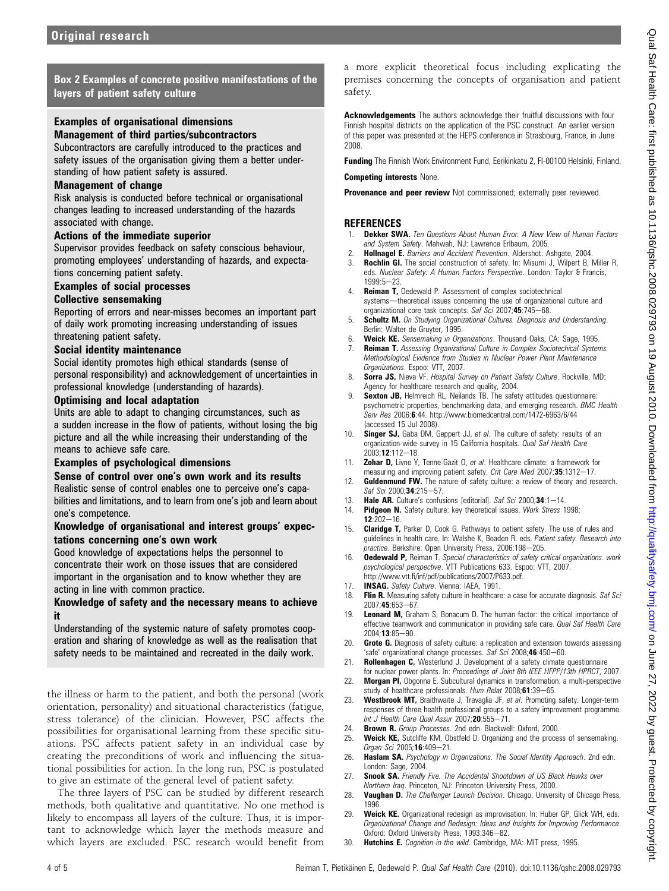Box 2 Examples of concrete positive manifestations of the layers of patient safety culture

# Examples of organisational dimensions

# Management of third parties/subcontractors

Subcontractors are carefully introduced to the practices and safety issues of the organisation giving them a better understanding of how patient safety is assured.

### Management of change

Risk analysis is conducted before technical or organisational changes leading to increased understanding of the hazards associated with change.

#### Actions of the immediate superior

Supervisor provides feedback on safety conscious behaviour, promoting employees' understanding of hazards, and expectations concerning patient safety.

# Examples of social processes

# Collective sensemaking

Reporting of errors and near-misses becomes an important part of daily work promoting increasing understanding of issues threatening patient safety.

#### Social identity maintenance

Social identity promotes high ethical standards (sense of personal responsibility) and acknowledgement of uncertainties in professional knowledge (understanding of hazards).

#### Optimising and local adaptation

Units are able to adapt to changing circumstances, such as a sudden increase in the flow of patients, without losing the big picture and all the while increasing their understanding of the means to achieve safe care.

# Examples of psychological dimensions

# Sense of control over one's own work and its results

Realistic sense of control enables one to perceive one's capabilities and limitations, and to learn from one's job and learn about one's competence.

### Knowledge of organisational and interest groups' expectations concerning one's own work

Good knowledge of expectations helps the personnel to concentrate their work on those issues that are considered important in the organisation and to know whether they are acting in line with common practice.

#### Knowledge of safety and the necessary means to achieve it

Understanding of the systemic nature of safety promotes cooperation and sharing of knowledge as well as the realisation that safety needs to be maintained and recreated in the daily work.

the illness or harm to the patient, and both the personal (work orientation, personality) and situational characteristics (fatigue, stress tolerance) of the clinician. However, PSC affects the possibilities for organisational learning from these specific situations. PSC affects patient safety in an individual case by creating the preconditions of work and influencing the situational possibilities for action. In the long run, PSC is postulated to give an estimate of the general level of patient safety.

The three layers of PSC can be studied by different research methods, both qualitative and quantitative. No one method is likely to encompass all layers of the culture. Thus, it is important to acknowledge which layer the methods measure and which layers are excluded. PSC research would benefit from a more explicit theoretical focus including explicating the premises concerning the concepts of organisation and patient safety.

Acknowledgements The authors acknowledge their fruitful discussions with four Finnish hospital districts on the application of the PSC construct. An earlier version of this paper was presented at the HEPS conference in Strasbourg, France, in June 2008.

Funding The Finnish Work Environment Fund, Eerikinkatu 2, FI-00100 Helsinki, Finland.

Competing interests None.

Provenance and peer review Not commissioned; externally peer reviewed.

### **REFERENCES**

- Dekker SWA. Ten Questions About Human Error. A New View of Human Factors and System Safety. Mahwah, NJ: Lawrence Erlbaum, 2005.
- Hollnagel E. Barriers and Accident Prevention. Aldershot: Ashgate, 2004. 3. Rochlin GI. The social construction of safety. In: Misumi J, Wilpert B, Miller R, eds. Nuclear Safety: A Human Factors Perspective. London: Taylor & Francis, 1999:5-23.
- 4. Reiman T, Oedewald P. Assessment of complex sociotechnical systems-theoretical issues concerning the use of organizational culture and organizational core task concepts. Saf Sci 2007;45:745-68.
- 5. **Schultz M.** On Studying Organizational Cultures. Diagnosis and Understanding. Berlin: Walter de Gruyter, 1995.
- 6. Weick KE. Sensemaking in Organizations. Thousand Oaks, CA: Sage, 1995.
- 7. **Reiman T.** Assessing Organizational Culture in Complex Sociotechical Systems. Methodological Evidence from Studies in Nuclear Power Plant Maintenance Organizations. Espoo: VTT, 2007.
- 8. Sorra JS, Nieva VF. Hospital Survey on Patient Safety Culture. Rockville, MD: Agency for healthcare research and quality, 2004.
- 9. **Sexton JB,** Helmreich RL, Neilands TB. The safety attitudes questionnaire: psychometric properties, benchmarking data, and emerging research. BMC Health Serv Res 2006;6:44. http://www.biomedcentral.com/1472-6963/6/44 (accessed 15 Jul 2008).
- 10. **Singer SJ,** Gaba DM, Geppert JJ, et al. The culture of safety: results of an organization-wide survey in 15 California hospitals. Qual Saf Health Care  $2003:12:112-18$
- 11. **Zohar D,** Livne Y, Tenne-Gazit O, et al. Healthcare climate: a framework for measuring and improving patient safety. Crit Care Med 2007;35:1312-17.
- 12. Guldenmund FW. The nature of safety culture: a review of theory and research.  $Sat$  Sci 2000;34:215-57.
- 13. **Hale AR.** Culture's confusions [editorial]. Saf Sci 2000;34:1-14.<br>14. **Pidneon N.** Safety culture: key theoretical issues Work Stress 1.
- Pidgeon N. Safety culture: key theoretical issues. Work Stress 1998;  $12:202 - 16$
- 15. **Claridge T,** Parker D, Cook G. Pathways to patient safety. The use of rules and guidelines in health care. In: Walshe K, Boaden R. eds. Patient safety. Research into practice. Berkshire: Open University Press, 2006:198-205.
- 16. **Oedewald P,** Reiman T. Special characteristics of safety critical organizations. work psychological perspective. VTT Publications 633. Espoo: VTT, 2007. http://www.vtt.fi/inf/pdf/publications/2007/P633.pdf.
- 17. **INSAG.** Safety Culture. Vienna: IAEA, 1991.
- 18. Flin R. Measuring safety culture in healthcare: a case for accurate diagnosis. Saf Sci  $2007.45.653 - 67.$
- 19. Leonard M, Graham S, Bonacum D. The human factor: the critical importance of effective teamwork and communication in providing safe care. Qual Saf Health Care  $2004:13:85-90.$
- 20. Grote G. Diagnosis of safety culture: a replication and extension towards assessing 'safe' organizational change processes. Saf Sci 2008;46:450-60.
- 21. Rollenhagen C, Westerlund J. Development of a safety climate questionnaire for nuclear power plants. In: Proceedings of Joint 8th IEEE HFPP/13th HPRCT, 2007.
- 22. Morgan PI, Obgonna E. Subcultural dynamics in transformation: a multi-perspective study of healthcare professionals. Hum Relat 2008;61:39-65.
- 23. Westbrook MT, Braithwaite J, Travaglia JF, et al. Promoting safety. Longer-term responses of three health professional groups to a safety improvement programme. Int J Health Care Qual Assur  $2007$ ; 20:555-71.
- 24. Brown R. Group Processes. 2nd edn. Blackwell: Oxford, 2000.<br>25. Weick KE, Sutcliffe KM, Obstfeld D. Organizing and the proce
- Weick KE, Sutcliffe KM, Obstfeld D. Organizing and the process of sensemaking. Organ Sci 2005;16:409-21.
- 26. Haslam SA. Psychology in Organizations. The Social Identity Approach. 2nd edn. London: Sage, 2004.
- 27. Snook SA. Friendly Fire. The Accidental Shootdown of US Black Hawks over Northern Iraq. Princeton, NJ: Princeton University Press, 2000.
- 28. Vaughan D. The Challenger Launch Decision. Chicago: University of Chicago Press, 1996.
- 29. Weick KE. Organizational redesign as improvisation. In: Huber GP, Glick WH, eds. Organizational Change and Redesign: Ideas and Insights for Improving Performance. Oxford: Oxford University Press, 1993:346-82.
- 30. **Hutchins E.** Cognition in the wild. Cambridge, MA: MIT press, 1995.